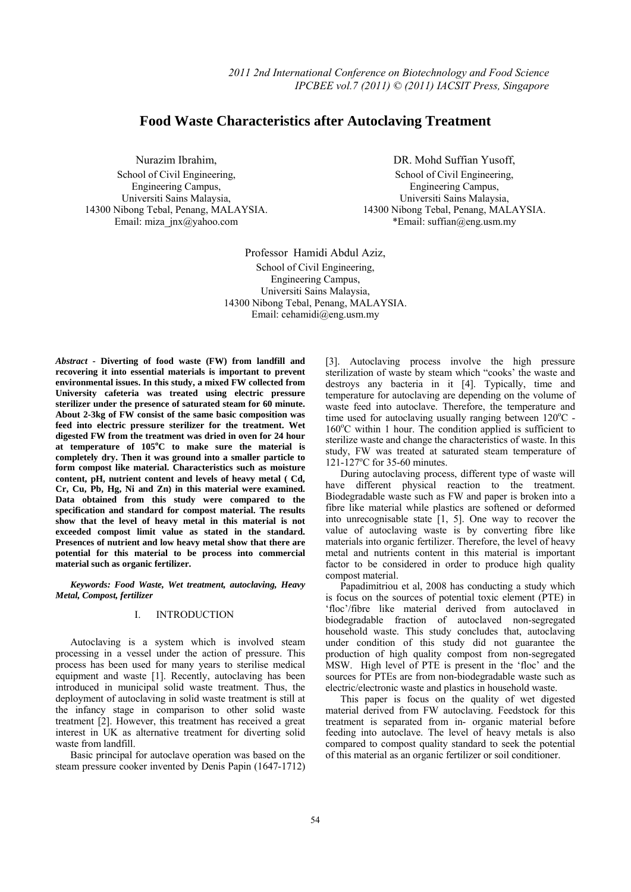# **Food Waste Characteristics after Autoclaving Treatment**

Nurazim Ibrahim, School of Civil Engineering, Engineering Campus, Universiti Sains Malaysia, 14300 Nibong Tebal, Penang, MALAYSIA. Email: miza\_jnx@yahoo.com

DR. Mohd Suffian Yusoff, School of Civil Engineering, Engineering Campus, Universiti Sains Malaysia, 14300 Nibong Tebal, Penang, MALAYSIA. \*Email: suffian@eng.usm.my

Professor Hamidi Abdul Aziz, School of Civil Engineering, Engineering Campus, Universiti Sains Malaysia, 14300 Nibong Tebal, Penang, MALAYSIA. Email: cehamidi@eng.usm.my

*Abstract* **- Diverting of food waste (FW) from landfill and recovering it into essential materials is important to prevent environmental issues. In this study, a mixed FW collected from University cafeteria was treated using electric pressure sterilizer under the presence of saturated steam for 60 minute. About 2-3kg of FW consist of the same basic composition was feed into electric pressure sterilizer for the treatment. Wet digested FW from the treatment was dried in oven for 24 hour at temperature of 105<sup>o</sup> C to make sure the material is completely dry. Then it was ground into a smaller particle to form compost like material. Characteristics such as moisture content, pH, nutrient content and levels of heavy metal ( Cd, Cr, Cu, Pb, Hg, Ni and Zn) in this material were examined. Data obtained from this study were compared to the specification and standard for compost material. The results show that the level of heavy metal in this material is not exceeded compost limit value as stated in the standard. Presences of nutrient and low heavy metal show that there are potential for this material to be process into commercial material such as organic fertilizer.** 

*Keywords: Food Waste, Wet treatment, autoclaving, Heavy Metal, Compost, fertilizer* 

## I. INTRODUCTION

Autoclaving is a system which is involved steam processing in a vessel under the action of pressure. This process has been used for many years to sterilise medical equipment and waste [1]. Recently, autoclaving has been introduced in municipal solid waste treatment. Thus, the deployment of autoclaving in solid waste treatment is still at the infancy stage in comparison to other solid waste treatment [2]. However, this treatment has received a great interest in UK as alternative treatment for diverting solid waste from landfill.

Basic principal for autoclave operation was based on the steam pressure cooker invented by Denis Papin (1647-1712) [3]. Autoclaving process involve the high pressure sterilization of waste by steam which "cooks' the waste and destroys any bacteria in it [4]. Typically, time and temperature for autoclaving are depending on the volume of waste feed into autoclave. Therefore, the temperature and time used for autoclaving usually ranging between 120°C -160°C within 1 hour. The condition applied is sufficient to sterilize waste and change the characteristics of waste. In this study, FW was treated at saturated steam temperature of 121-127°C for 35-60 minutes.

During autoclaving process, different type of waste will have different physical reaction to the treatment. Biodegradable waste such as FW and paper is broken into a fibre like material while plastics are softened or deformed into unrecognisable state [1, 5]. One way to recover the value of autoclaving waste is by converting fibre like materials into organic fertilizer. Therefore, the level of heavy metal and nutrients content in this material is important factor to be considered in order to produce high quality compost material.

Papadimitriou et al, 2008 has conducting a study which is focus on the sources of potential toxic element (PTE) in 'floc'/fibre like material derived from autoclaved in biodegradable fraction of autoclaved non-segregated household waste. This study concludes that, autoclaving under condition of this study did not guarantee the production of high quality compost from non-segregated MSW. High level of PTE is present in the 'floc' and the sources for PTEs are from non-biodegradable waste such as electric/electronic waste and plastics in household waste.

This paper is focus on the quality of wet digested material derived from FW autoclaving. Feedstock for this treatment is separated from in- organic material before feeding into autoclave. The level of heavy metals is also compared to compost quality standard to seek the potential of this material as an organic fertilizer or soil conditioner.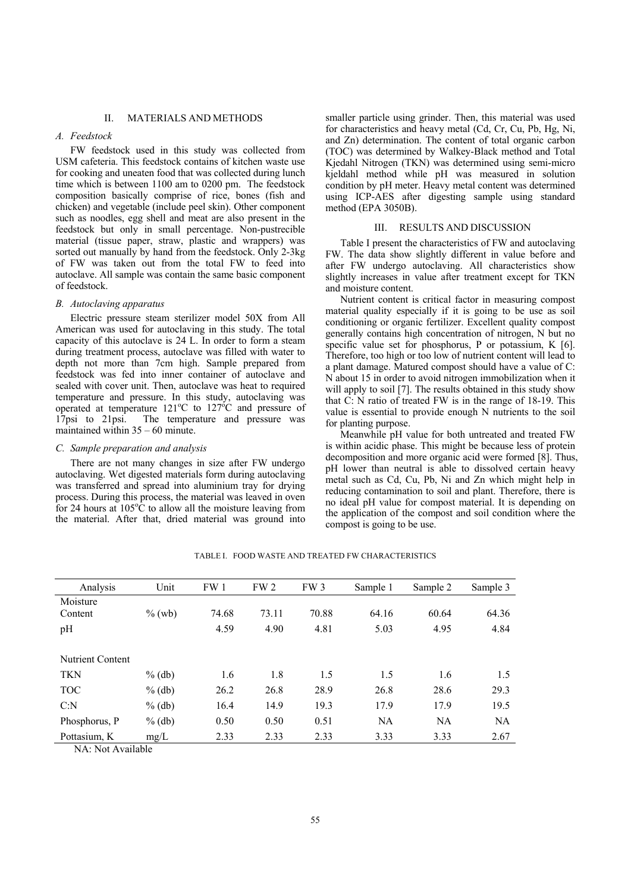#### II. MATERIALS AND METHODS

# *A. Feedstock*

FW feedstock used in this study was collected from USM cafeteria. This feedstock contains of kitchen waste use for cooking and uneaten food that was collected during lunch time which is between 1100 am to 0200 pm. The feedstock composition basically comprise of rice, bones (fish and chicken) and vegetable (include peel skin). Other component such as noodles, egg shell and meat are also present in the feedstock but only in small percentage. Non-pustrecible material (tissue paper, straw, plastic and wrappers) was sorted out manually by hand from the feedstock. Only 2-3kg of FW was taken out from the total FW to feed into autoclave. All sample was contain the same basic component of feedstock.

#### *B. Autoclaving apparatus*

Electric pressure steam sterilizer model 50X from All American was used for autoclaving in this study. The total capacity of this autoclave is 24 L. In order to form a steam during treatment process, autoclave was filled with water to depth not more than 7cm high. Sample prepared from feedstock was fed into inner container of autoclave and sealed with cover unit. Then, autoclave was heat to required temperature and pressure. In this study, autoclaving was operated at temperature  $121^{\circ}$ C to  $127^{\circ}$ C and pressure of 17psi to 21psi. The temperature and pressure was maintained within  $35 - 60$  minute.

## *C. Sample preparation and analysis*

There are not many changes in size after FW undergo autoclaving. Wet digested materials form during autoclaving was transferred and spread into aluminium tray for drying process. During this process, the material was leaved in oven for 24 hours at  $105^{\circ}$ C to allow all the moisture leaving from the material. After that, dried material was ground into

smaller particle using grinder. Then, this material was used for characteristics and heavy metal (Cd, Cr, Cu, Pb, Hg, Ni, and Zn) determination. The content of total organic carbon (TOC) was determined by Walkey-Black method and Total Kjedahl Nitrogen (TKN) was determined using semi-micro kjeldahl method while pH was measured in solution condition by pH meter. Heavy metal content was determined using ICP-AES after digesting sample using standard method (EPA 3050B).

## III. RESULTS AND DISCUSSION

Table I present the characteristics of FW and autoclaving FW. The data show slightly different in value before and after FW undergo autoclaving. All characteristics show slightly increases in value after treatment except for TKN and moisture content.

Nutrient content is critical factor in measuring compost material quality especially if it is going to be use as soil conditioning or organic fertilizer. Excellent quality compost generally contains high concentration of nitrogen, N but no specific value set for phosphorus, P or potassium, K [6]. Therefore, too high or too low of nutrient content will lead to a plant damage. Matured compost should have a value of C: N about 15 in order to avoid nitrogen immobilization when it will apply to soil [7]. The results obtained in this study show that C: N ratio of treated FW is in the range of 18-19. This value is essential to provide enough N nutrients to the soil for planting purpose.

Meanwhile pH value for both untreated and treated FW is within acidic phase. This might be because less of protein decomposition and more organic acid were formed [8]. Thus, pH lower than neutral is able to dissolved certain heavy metal such as Cd, Cu, Pb, Ni and Zn which might help in reducing contamination to soil and plant. Therefore, there is no ideal pH value for compost material. It is depending on the application of the compost and soil condition where the compost is going to be use.

| Analysis         | Unit      | FW 1  | FW <sub>2</sub> | FW <sub>3</sub> | Sample 1 | Sample 2  | Sample 3  |
|------------------|-----------|-------|-----------------|-----------------|----------|-----------|-----------|
| Moisture         |           |       |                 |                 |          |           |           |
| Content          | $\%$ (wb) | 74.68 | 73.11           | 70.88           | 64.16    | 60.64     | 64.36     |
| pH               |           | 4.59  | 4.90            | 4.81            | 5.03     | 4.95      | 4.84      |
|                  |           |       |                 |                 |          |           |           |
| Nutrient Content |           |       |                 |                 |          |           |           |
| <b>TKN</b>       | $%$ (db)  | 1.6   | 1.8             | 1.5             | 1.5      | 1.6       | 1.5       |
| <b>TOC</b>       | $%$ (db)  | 26.2  | 26.8            | 28.9            | 26.8     | 28.6      | 29.3      |
| C: N             | $%$ (db)  | 16.4  | 14.9            | 19.3            | 17.9     | 17.9      | 19.5      |
| Phosphorus, P    | $%$ (db)  | 0.50  | 0.50            | 0.51            | NA       | <b>NA</b> | <b>NA</b> |
| Pottasium, K     | mg/L      | 2.33  | 2.33            | 2.33            | 3.33     | 3.33      | 2.67      |

TABLE I. FOOD WASTE AND TREATED FW CHARACTERISTICS

NA: Not Available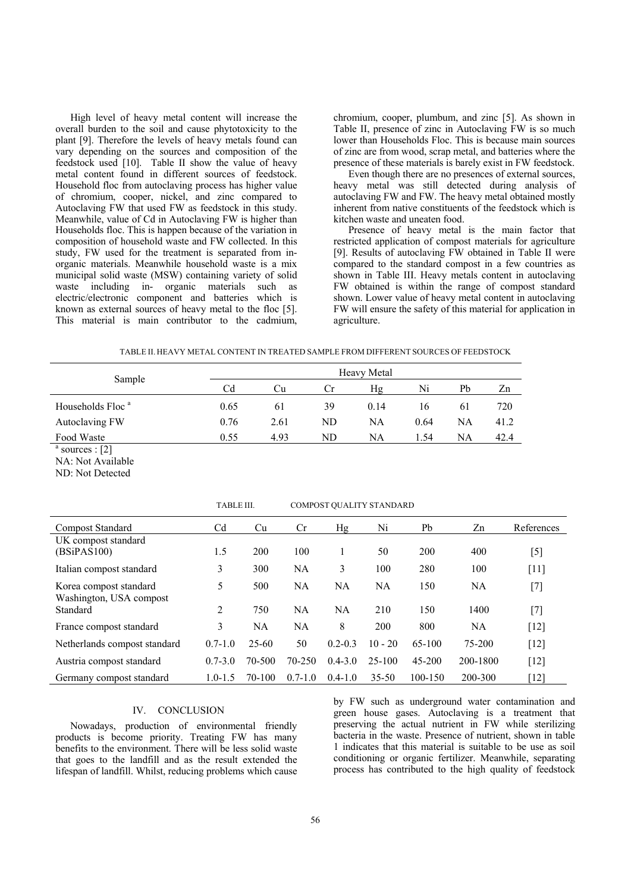High level of heavy metal content will increase the overall burden to the soil and cause phytotoxicity to the plant [9]. Therefore the levels of heavy metals found can vary depending on the sources and composition of the feedstock used [10]. Table II show the value of heavy metal content found in different sources of feedstock. Household floc from autoclaving process has higher value of chromium, cooper, nickel, and zinc compared to Autoclaving FW that used FW as feedstock in this study. Meanwhile, value of Cd in Autoclaving FW is higher than Households floc. This is happen because of the variation in composition of household waste and FW collected. In this study, FW used for the treatment is separated from inorganic materials. Meanwhile household waste is a mix municipal solid waste (MSW) containing variety of solid waste including in- organic materials such as electric/electronic component and batteries which is known as external sources of heavy metal to the floc [5]. This material is main contributor to the cadmium,

chromium, cooper, plumbum, and zinc [5]. As shown in Table II, presence of zinc in Autoclaving FW is so much lower than Households Floc. This is because main sources of zinc are from wood, scrap metal, and batteries where the presence of these materials is barely exist in FW feedstock.

Even though there are no presences of external sources, heavy metal was still detected during analysis of autoclaving FW and FW. The heavy metal obtained mostly inherent from native constituents of the feedstock which is kitchen waste and uneaten food.

Presence of heavy metal is the main factor that restricted application of compost materials for agriculture [9]. Results of autoclaving FW obtained in Table II were compared to the standard compost in a few countries as shown in Table III. Heavy metals content in autoclaving FW obtained is within the range of compost standard shown. Lower value of heavy metal content in autoclaving FW will ensure the safety of this material for application in agriculture.

|  | TABLE II. HEAVY METAL CONTENT IN TREATED SAMPLE FROM DIFFERENT SOURCES OF FEEDSTOCK |  |  |
|--|-------------------------------------------------------------------------------------|--|--|
|--|-------------------------------------------------------------------------------------|--|--|

| Sample                                    |      |      |           | Heavy Metal |      |                |      |
|-------------------------------------------|------|------|-----------|-------------|------|----------------|------|
|                                           | Cd   | Ċu   | <b>Cr</b> | Ηg          | Ni   | Pb<br>61<br>NA | Zn   |
| Households Floc <sup>a</sup>              | 0.65 | 61   | 39        | 0.14        | 16   |                | 720  |
| Autoclaving FW                            | 0.76 | 2.61 | ND        | NA          | 0.64 |                | 41.2 |
| Food Waste                                | 0.55 | 4.93 | ND        | NA          | 1.54 | NA             | 42.4 |
| $a_{\text{caup},\text{coup}}$ $\cdot$ [2] |      |      |           |             |      |                |      |

 $a$  sources : [2]

NA: Not Available

ND: Not Detected

|                                                   | TABLE III.     |           | COMPOST QUALITY STANDARD |             |           |             |          |            |
|---------------------------------------------------|----------------|-----------|--------------------------|-------------|-----------|-------------|----------|------------|
| <b>Compost Standard</b>                           | Cd             | Cu        | Cr                       | Hg          | Ni        | Pb          | Zn       | References |
| UK compost standard<br>(BSiPAS100)                | 1.5            | 200       | 100                      |             | 50        | 200         | 400      | [5]        |
| Italian compost standard                          | 3              | 300       | NA                       | 3           | 100       | 280         | 100      | $[11]$     |
| Korea compost standard<br>Washington, USA compost | 5              | 500       | NA                       | NA          | NA        | 150         | NA       | [7]        |
| Standard                                          | $\overline{2}$ | 750       | NA                       | NA          | 210       | 150         | 1400     | $[7]$      |
| France compost standard                           | 3              | NA        | NA                       | 8           | 200       | 800         | NA       | $[12]$     |
| Netherlands compost standard                      | $0.7 - 1.0$    | $25 - 60$ | 50                       | $0.2 - 0.3$ | $10 - 20$ | 65-100      | 75-200   | $[12]$     |
| Austria compost standard                          | $0.7 - 3.0$    | 70-500    | 70-250                   | $0.4 - 3.0$ | $25-100$  | $45 - 200$  | 200-1800 | $[12]$     |
| Germany compost standard                          | $1.0 - 1.5$    | 70-100    | $0.7 - 1.0$              | $0.4 - 1.0$ | $35 - 50$ | $100 - 150$ | 200-300  | [12]       |

# IV. CONCLUSION

Nowadays, production of environmental friendly products is become priority. Treating FW has many benefits to the environment. There will be less solid waste that goes to the landfill and as the result extended the lifespan of landfill. Whilst, reducing problems which cause by FW such as underground water contamination and green house gases. Autoclaving is a treatment that preserving the actual nutrient in FW while sterilizing bacteria in the waste. Presence of nutrient, shown in table 1 indicates that this material is suitable to be use as soil conditioning or organic fertilizer. Meanwhile, separating process has contributed to the high quality of feedstock